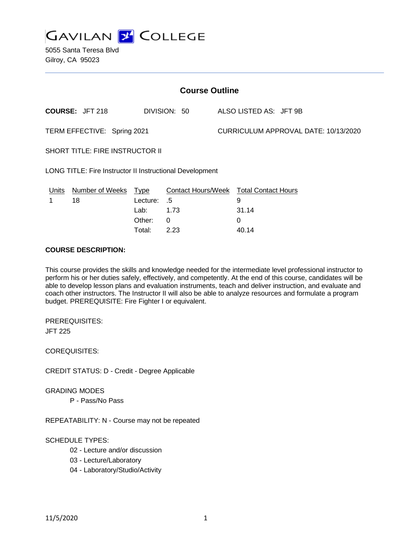

| <b>Course Outline</b>                                    |                        |             |              |                                      |                                        |
|----------------------------------------------------------|------------------------|-------------|--------------|--------------------------------------|----------------------------------------|
|                                                          | <b>COURSE: JFT 218</b> |             | DIVISION: 50 |                                      | ALSO LISTED AS: JFT 9B                 |
| TERM EFFECTIVE: Spring 2021                              |                        |             |              | CURRICULUM APPROVAL DATE: 10/13/2020 |                                        |
| SHORT TITLE: FIRE INSTRUCTOR II                          |                        |             |              |                                      |                                        |
| LONG TITLE: Fire Instructor II Instructional Development |                        |             |              |                                      |                                        |
| Units                                                    | <b>Number of Weeks</b> | <u>Type</u> |              |                                      | Contact Hours/Week Total Contact Hours |
| 1                                                        | 18                     | Lecture:    | .5           |                                      | 9                                      |
|                                                          |                        | Lab:        | 1.73         |                                      | 31.14                                  |
|                                                          |                        | Other:      | 0            |                                      | $\Omega$                               |
|                                                          |                        | Total:      | 2.23         |                                      | 40.14                                  |

#### **COURSE DESCRIPTION:**

This course provides the skills and knowledge needed for the intermediate level professional instructor to perform his or her duties safely, effectively, and competently. At the end of this course, candidates will be able to develop lesson plans and evaluation instruments, teach and deliver instruction, and evaluate and coach other instructors. The Instructor II will also be able to analyze resources and formulate a program budget. PREREQUISITE: Fire Fighter I or equivalent.

PREREQUISITES: JFT 225

COREQUISITES:

CREDIT STATUS: D - Credit - Degree Applicable

GRADING MODES

P - Pass/No Pass

REPEATABILITY: N - Course may not be repeated

# SCHEDULE TYPES:

- 02 Lecture and/or discussion
- 03 Lecture/Laboratory
- 04 Laboratory/Studio/Activity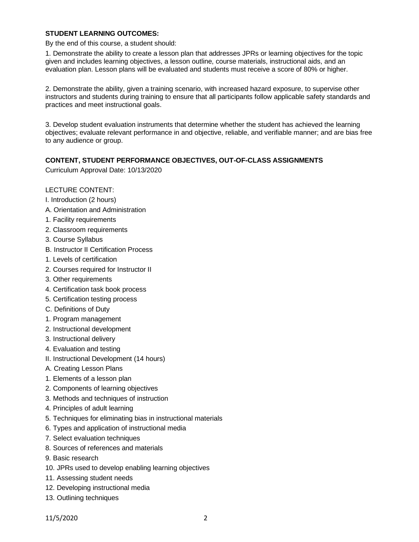## **STUDENT LEARNING OUTCOMES:**

By the end of this course, a student should:

1. Demonstrate the ability to create a lesson plan that addresses JPRs or learning objectives for the topic given and includes learning objectives, a lesson outline, course materials, instructional aids, and an evaluation plan. Lesson plans will be evaluated and students must receive a score of 80% or higher.

2. Demonstrate the ability, given a training scenario, with increased hazard exposure, to supervise other instructors and students during training to ensure that all participants follow applicable safety standards and practices and meet instructional goals.

3. Develop student evaluation instruments that determine whether the student has achieved the learning objectives; evaluate relevant performance in and objective, reliable, and verifiable manner; and are bias free to any audience or group.

## **CONTENT, STUDENT PERFORMANCE OBJECTIVES, OUT-OF-CLASS ASSIGNMENTS**

Curriculum Approval Date: 10/13/2020

## LECTURE CONTENT:

- I. Introduction (2 hours)
- A. Orientation and Administration
- 1. Facility requirements
- 2. Classroom requirements
- 3. Course Syllabus
- B. Instructor II Certification Process
- 1. Levels of certification
- 2. Courses required for Instructor II
- 3. Other requirements
- 4. Certification task book process
- 5. Certification testing process
- C. Definitions of Duty
- 1. Program management
- 2. Instructional development
- 3. Instructional delivery
- 4. Evaluation and testing
- II. Instructional Development (14 hours)
- A. Creating Lesson Plans
- 1. Elements of a lesson plan
- 2. Components of learning objectives
- 3. Methods and techniques of instruction
- 4. Principles of adult learning
- 5. Techniques for eliminating bias in instructional materials
- 6. Types and application of instructional media
- 7. Select evaluation techniques
- 8. Sources of references and materials
- 9. Basic research
- 10. JPRs used to develop enabling learning objectives
- 11. Assessing student needs
- 12. Developing instructional media
- 13. Outlining techniques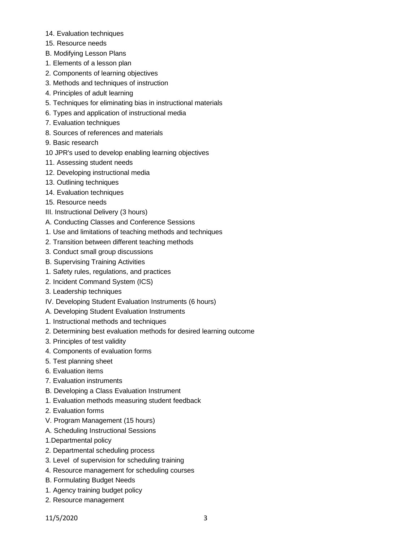- 14. Evaluation techniques
- 15. Resource needs
- B. Modifying Lesson Plans
- 1. Elements of a lesson plan
- 2. Components of learning objectives
- 3. Methods and techniques of instruction
- 4. Principles of adult learning
- 5. Techniques for eliminating bias in instructional materials
- 6. Types and application of instructional media
- 7. Evaluation techniques
- 8. Sources of references and materials
- 9. Basic research
- 10 JPR's used to develop enabling learning objectives
- 11. Assessing student needs
- 12. Developing instructional media
- 13. Outlining techniques
- 14. Evaluation techniques
- 15. Resource needs
- III. Instructional Delivery (3 hours)
- A. Conducting Classes and Conference Sessions
- 1. Use and limitations of teaching methods and techniques
- 2. Transition between different teaching methods
- 3. Conduct small group discussions
- B. Supervising Training Activities
- 1. Safety rules, regulations, and practices
- 2. Incident Command System (ICS)
- 3. Leadership techniques
- IV. Developing Student Evaluation Instruments (6 hours)
- A. Developing Student Evaluation Instruments
- 1. Instructional methods and techniques
- 2. Determining best evaluation methods for desired learning outcome
- 3. Principles of test validity
- 4. Components of evaluation forms
- 5. Test planning sheet
- 6. Evaluation items
- 7. Evaluation instruments
- B. Developing a Class Evaluation Instrument
- 1. Evaluation methods measuring student feedback
- 2. Evaluation forms
- V. Program Management (15 hours)
- A. Scheduling Instructional Sessions
- 1.Departmental policy
- 2. Departmental scheduling process
- 3. Level of supervision for scheduling training
- 4. Resource management for scheduling courses
- B. Formulating Budget Needs
- 1. Agency training budget policy
- 2. Resource management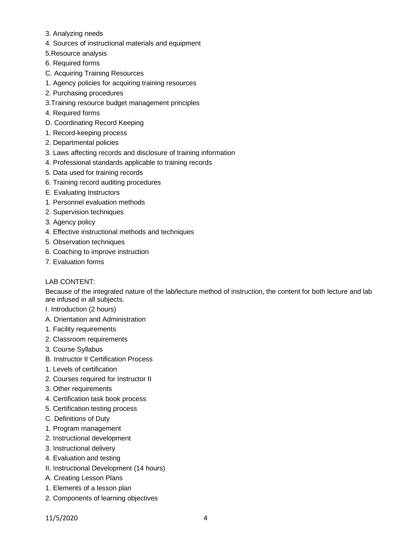- 3. Analyzing needs
- 4. Sources of instructional materials and equipment
- 5.Resource analysis
- 6. Required forms
- C. Acquiring Training Resources
- 1. Agency policies for acquiring training resources
- 2. Purchasing procedures
- 3.Training resource budget management principles
- 4. Required forms
- D. Coordinating Record Keeping
- 1. Record-keeping process
- 2. Departmental policies
- 3. Laws affecting records and disclosure of training information
- 4. Professional standards applicable to training records
- 5. Data used for training records
- 6. Training record auditing procedures
- E. Evaluating Instructors
- 1. Personnel evaluation methods
- 2. Supervision techniques
- 3. Agency policy
- 4. Effective instructional methods and techniques
- 5. Observation techniques
- 6. Coaching to improve instruction
- 7. Evaluation forms

# LAB CONTENT:

Because of the integrated nature of the lab/lecture method of instruction, the content for both lecture and lab are infused in all subjects.

I. Introduction (2 hours)

- A. Orientation and Administration
- 1. Facility requirements
- 2. Classroom requirements
- 3. Course Syllabus
- B. Instructor II Certification Process
- 1. Levels of certification
- 2. Courses required for Instructor II
- 3. Other requirements
- 4. Certification task book process
- 5. Certification testing process
- C. Definitions of Duty
- 1. Program management
- 2. Instructional development
- 3. Instructional delivery
- 4. Evaluation and testing
- II. Instructional Development (14 hours)
- A. Creating Lesson Plans
- 1. Elements of a lesson plan
- 2. Components of learning objectives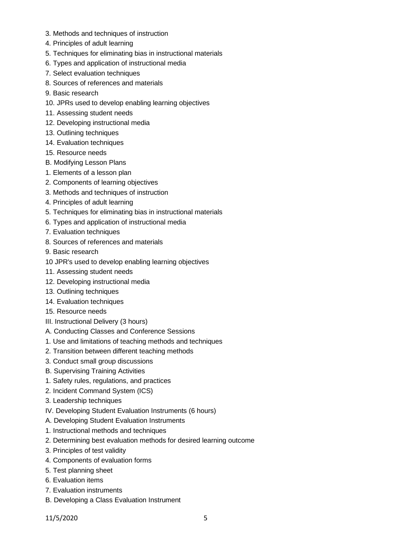- 3. Methods and techniques of instruction
- 4. Principles of adult learning
- 5. Techniques for eliminating bias in instructional materials
- 6. Types and application of instructional media
- 7. Select evaluation techniques
- 8. Sources of references and materials
- 9. Basic research
- 10. JPRs used to develop enabling learning objectives
- 11. Assessing student needs
- 12. Developing instructional media
- 13. Outlining techniques
- 14. Evaluation techniques
- 15. Resource needs
- B. Modifying Lesson Plans
- 1. Elements of a lesson plan
- 2. Components of learning objectives
- 3. Methods and techniques of instruction
- 4. Principles of adult learning
- 5. Techniques for eliminating bias in instructional materials
- 6. Types and application of instructional media
- 7. Evaluation techniques
- 8. Sources of references and materials
- 9. Basic research
- 10 JPR's used to develop enabling learning objectives
- 11. Assessing student needs
- 12. Developing instructional media
- 13. Outlining techniques
- 14. Evaluation techniques
- 15. Resource needs
- III. Instructional Delivery (3 hours)
- A. Conducting Classes and Conference Sessions
- 1. Use and limitations of teaching methods and techniques
- 2. Transition between different teaching methods
- 3. Conduct small group discussions
- B. Supervising Training Activities
- 1. Safety rules, regulations, and practices
- 2. Incident Command System (ICS)
- 3. Leadership techniques
- IV. Developing Student Evaluation Instruments (6 hours)
- A. Developing Student Evaluation Instruments
- 1. Instructional methods and techniques
- 2. Determining best evaluation methods for desired learning outcome
- 3. Principles of test validity
- 4. Components of evaluation forms
- 5. Test planning sheet
- 6. Evaluation items
- 7. Evaluation instruments
- B. Developing a Class Evaluation Instrument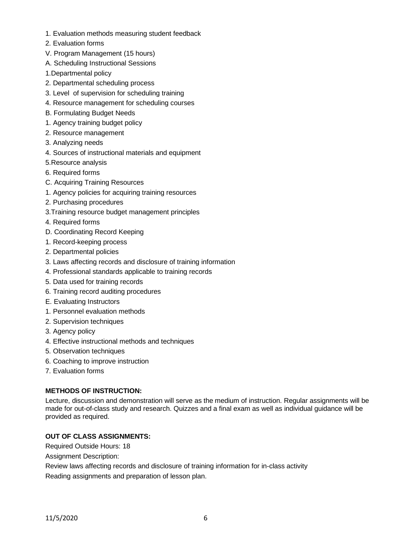- 1. Evaluation methods measuring student feedback
- 2. Evaluation forms
- V. Program Management (15 hours)
- A. Scheduling Instructional Sessions
- 1.Departmental policy
- 2. Departmental scheduling process
- 3. Level of supervision for scheduling training
- 4. Resource management for scheduling courses
- B. Formulating Budget Needs
- 1. Agency training budget policy
- 2. Resource management
- 3. Analyzing needs
- 4. Sources of instructional materials and equipment
- 5.Resource analysis
- 6. Required forms
- C. Acquiring Training Resources
- 1. Agency policies for acquiring training resources
- 2. Purchasing procedures
- 3.Training resource budget management principles
- 4. Required forms
- D. Coordinating Record Keeping
- 1. Record-keeping process
- 2. Departmental policies
- 3. Laws affecting records and disclosure of training information
- 4. Professional standards applicable to training records
- 5. Data used for training records
- 6. Training record auditing procedures
- E. Evaluating Instructors
- 1. Personnel evaluation methods
- 2. Supervision techniques
- 3. Agency policy
- 4. Effective instructional methods and techniques
- 5. Observation techniques
- 6. Coaching to improve instruction
- 7. Evaluation forms

## **METHODS OF INSTRUCTION:**

Lecture, discussion and demonstration will serve as the medium of instruction. Regular assignments will be made for out-of-class study and research. Quizzes and a final exam as well as individual guidance will be provided as required.

## **OUT OF CLASS ASSIGNMENTS:**

Required Outside Hours: 18

Assignment Description:

Review laws affecting records and disclosure of training information for in-class activity Reading assignments and preparation of lesson plan.